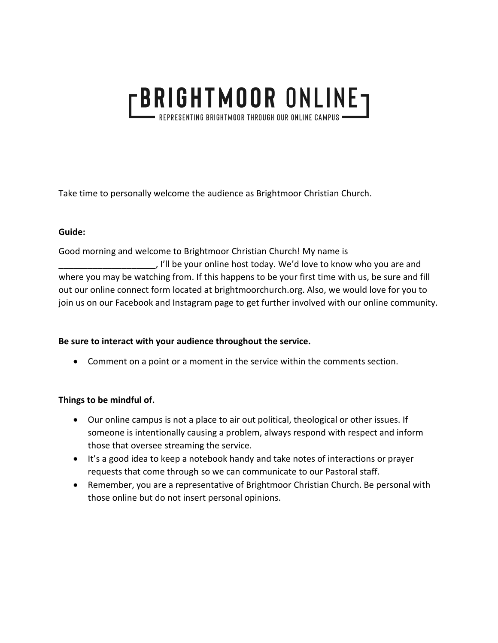# **FBRIGHTMOOR ONLINET** · REPRESENTING BRIGHTMOOR THROUGH OUR ONLINE CAMPUS

Take time to personally welcome the audience as Brightmoor Christian Church.

#### **Guide:**

Good morning and welcome to Brightmoor Christian Church! My name is \_\_\_\_\_\_\_\_\_\_\_\_\_\_\_\_\_\_\_\_, I'll be your online host today. We'd love to know who you are and where you may be watching from. If this happens to be your first time with us, be sure and fill out our online connect form located at brightmoorchurch.org. Also, we would love for you to join us on our Facebook and Instagram page to get further involved with our online community.

### **Be sure to interact with your audience throughout the service.**

• Comment on a point or a moment in the service within the comments section.

### **Things to be mindful of.**

- Our online campus is not a place to air out political, theological or other issues. If someone is intentionally causing a problem, always respond with respect and inform those that oversee streaming the service.
- It's a good idea to keep a notebook handy and take notes of interactions or prayer requests that come through so we can communicate to our Pastoral staff.
- Remember, you are a representative of Brightmoor Christian Church. Be personal with those online but do not insert personal opinions.